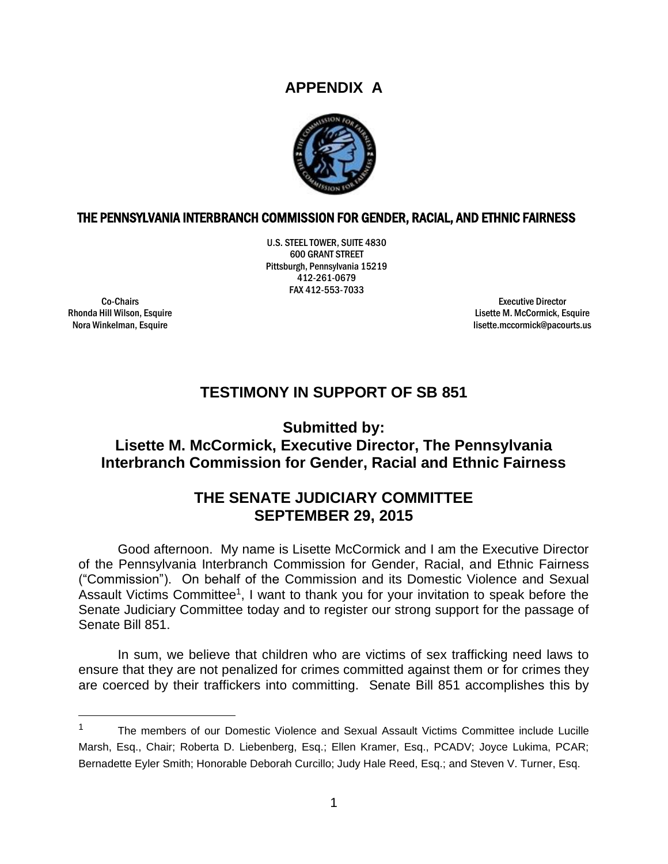## **APPENDIX A**



## THE PENNSYLVANIA INTERBRANCH COMMISSION FOR GENDER, RACIAL, AND ETHNIC FAIRNESS

U.S. STEEL TOWER, SUITE 4830 600 GRANT STREET Pittsburgh, Pennsylvania 15219 412-261-0679 FAX 412-553-7033

Co-Chairs Rhonda Hill Wilson, Esquire Nora Winkelman, Esquire

Executive Director Lisette M. McCormick, Esquire lisette.mccormick@pacourts.us

## **TESTIMONY IN SUPPORT OF SB 851**

**Submitted by:**

**Lisette M. McCormick, Executive Director, The Pennsylvania Interbranch Commission for Gender, Racial and Ethnic Fairness**

## **THE SENATE JUDICIARY COMMITTEE SEPTEMBER 29, 2015**

Good afternoon. My name is Lisette McCormick and I am the Executive Director of the Pennsylvania Interbranch Commission for Gender, Racial, and Ethnic Fairness ("Commission"). On behalf of the Commission and its Domestic Violence and Sexual Assault Victims Committee<sup>1</sup>, I want to thank you for your invitation to speak before the Senate Judiciary Committee today and to register our strong support for the passage of Senate Bill 851.

In sum, we believe that children who are victims of sex trafficking need laws to ensure that they are not penalized for crimes committed against them or for crimes they are coerced by their traffickers into committing. Senate Bill 851 accomplishes this by

<sup>&</sup>lt;sup>1</sup> The members of our Domestic Violence and Sexual Assault Victims Committee include Lucille Marsh, Esq., Chair; Roberta D. Liebenberg, Esq.; Ellen Kramer, Esq., PCADV; Joyce Lukima, PCAR; Bernadette Eyler Smith; Honorable Deborah Curcillo; Judy Hale Reed, Esq.; and Steven V. Turner, Esq.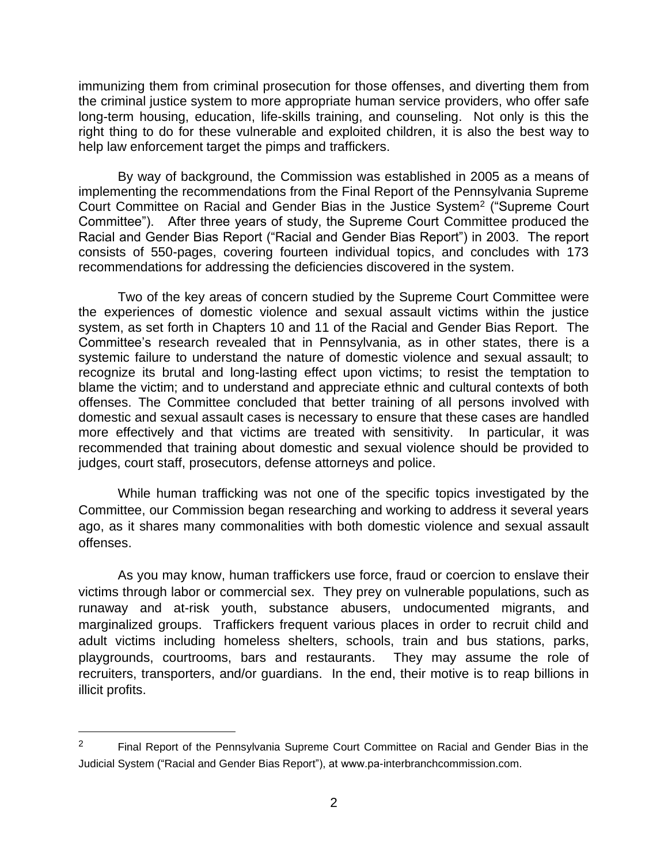immunizing them from criminal prosecution for those offenses, and diverting them from the criminal justice system to more appropriate human service providers, who offer safe long-term housing, education, life-skills training, and counseling. Not only is this the right thing to do for these vulnerable and exploited children, it is also the best way to help law enforcement target the pimps and traffickers.

By way of background, the Commission was established in 2005 as a means of implementing the recommendations from the Final Report of the Pennsylvania Supreme Court Committee on Racial and Gender Bias in the Justice System<sup>2</sup> ("Supreme Court Committee"). After three years of study, the Supreme Court Committee produced the Racial and Gender Bias Report ("Racial and Gender Bias Report") in 2003. The report consists of 550-pages, covering fourteen individual topics, and concludes with 173 recommendations for addressing the deficiencies discovered in the system.

Two of the key areas of concern studied by the Supreme Court Committee were the experiences of domestic violence and sexual assault victims within the justice system, as set forth in Chapters 10 and 11 of the Racial and Gender Bias Report. The Committee's research revealed that in Pennsylvania, as in other states, there is a systemic failure to understand the nature of domestic violence and sexual assault; to recognize its brutal and long-lasting effect upon victims; to resist the temptation to blame the victim; and to understand and appreciate ethnic and cultural contexts of both offenses. The Committee concluded that better training of all persons involved with domestic and sexual assault cases is necessary to ensure that these cases are handled more effectively and that victims are treated with sensitivity. In particular, it was recommended that training about domestic and sexual violence should be provided to judges, court staff, prosecutors, defense attorneys and police.

While human trafficking was not one of the specific topics investigated by the Committee, our Commission began researching and working to address it several years ago, as it shares many commonalities with both domestic violence and sexual assault offenses.

As you may know, human traffickers use force, fraud or coercion to enslave their victims through labor or commercial sex. They prey on vulnerable populations, such as runaway and at-risk youth, substance abusers, undocumented migrants, and marginalized groups. Traffickers frequent various places in order to recruit child and adult victims including homeless shelters, schools, train and bus stations, parks, playgrounds, courtrooms, bars and restaurants. They may assume the role of recruiters, transporters, and/or guardians. In the end, their motive is to reap billions in illicit profits.

<sup>&</sup>lt;sup>2</sup> Final Report of the Pennsylvania Supreme Court Committee on Racial and Gender Bias in the Judicial System ("Racial and Gender Bias Report"), at www.pa-interbranchcommission.com.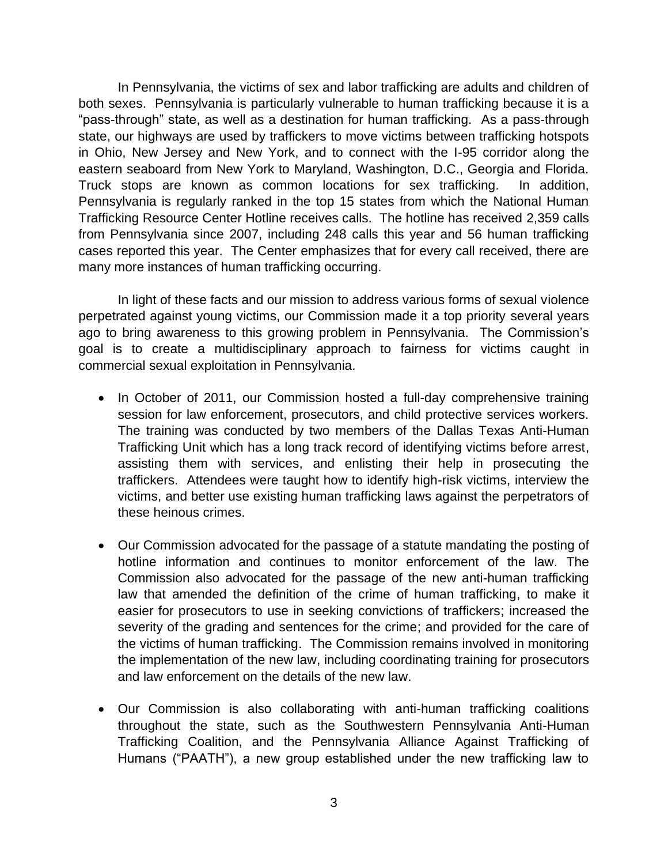In Pennsylvania, the victims of sex and labor trafficking are adults and children of both sexes. Pennsylvania is particularly vulnerable to human trafficking because it is a "pass-through" state, as well as a destination for human trafficking. As a pass-through state, our highways are used by traffickers to move victims between trafficking hotspots in Ohio, New Jersey and New York, and to connect with the I-95 corridor along the eastern seaboard from New York to Maryland, Washington, D.C., Georgia and Florida. Truck stops are known as common locations for sex trafficking. In addition, Pennsylvania is regularly ranked in the top 15 states from which the National Human Trafficking Resource Center Hotline receives calls. The hotline has received 2,359 calls from Pennsylvania since 2007, including 248 calls this year and 56 human trafficking cases reported this year. The Center emphasizes that for every call received, there are many more instances of human trafficking occurring.

In light of these facts and our mission to address various forms of sexual violence perpetrated against young victims, our Commission made it a top priority several years ago to bring awareness to this growing problem in Pennsylvania. The Commission's goal is to create a multidisciplinary approach to fairness for victims caught in commercial sexual exploitation in Pennsylvania.

- In October of 2011, our Commission hosted a full-day comprehensive training session for law enforcement, prosecutors, and child protective services workers. The training was conducted by two members of the Dallas Texas Anti-Human Trafficking Unit which has a long track record of identifying victims before arrest, assisting them with services, and enlisting their help in prosecuting the traffickers. Attendees were taught how to identify high-risk victims, interview the victims, and better use existing human trafficking laws against the perpetrators of these heinous crimes.
- Our Commission advocated for the passage of a statute mandating the posting of hotline information and continues to monitor enforcement of the law. The Commission also advocated for the passage of the new anti-human trafficking law that amended the definition of the crime of human trafficking, to make it easier for prosecutors to use in seeking convictions of traffickers; increased the severity of the grading and sentences for the crime; and provided for the care of the victims of human trafficking. The Commission remains involved in monitoring the implementation of the new law, including coordinating training for prosecutors and law enforcement on the details of the new law.
- Our Commission is also collaborating with anti-human trafficking coalitions throughout the state, such as the Southwestern Pennsylvania Anti-Human Trafficking Coalition, and the Pennsylvania Alliance Against Trafficking of Humans ("PAATH"), a new group established under the new trafficking law to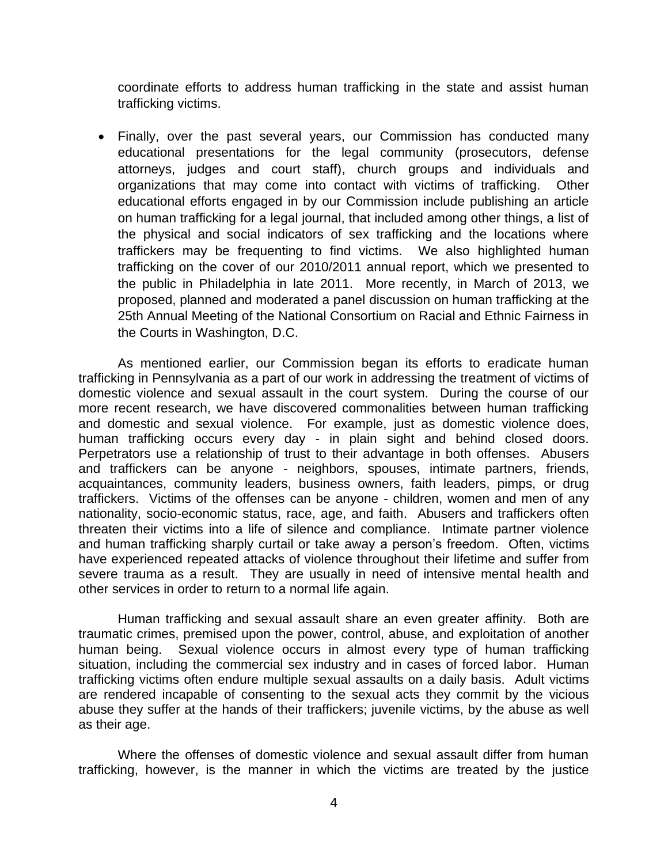coordinate efforts to address human trafficking in the state and assist human trafficking victims.

• Finally, over the past several years, our Commission has conducted many educational presentations for the legal community (prosecutors, defense attorneys, judges and court staff), church groups and individuals and organizations that may come into contact with victims of trafficking. Other educational efforts engaged in by our Commission include publishing an article on human trafficking for a legal journal, that included among other things, a list of the physical and social indicators of sex trafficking and the locations where traffickers may be frequenting to find victims. We also highlighted human trafficking on the cover of our 2010/2011 annual report, which we presented to the public in Philadelphia in late 2011. More recently, in March of 2013, we proposed, planned and moderated a panel discussion on human trafficking at the 25th Annual Meeting of the National Consortium on Racial and Ethnic Fairness in the Courts in Washington, D.C.

As mentioned earlier, our Commission began its efforts to eradicate human trafficking in Pennsylvania as a part of our work in addressing the treatment of victims of domestic violence and sexual assault in the court system. During the course of our more recent research, we have discovered commonalities between human trafficking and domestic and sexual violence. For example, just as domestic violence does, human trafficking occurs every day - in plain sight and behind closed doors. Perpetrators use a relationship of trust to their advantage in both offenses. Abusers and traffickers can be anyone - neighbors, spouses, intimate partners, friends, acquaintances, community leaders, business owners, faith leaders, pimps, or drug traffickers. Victims of the offenses can be anyone - children, women and men of any nationality, socio-economic status, race, age, and faith. Abusers and traffickers often threaten their victims into a life of silence and compliance. Intimate partner violence and human trafficking sharply curtail or take away a person's freedom. Often, victims have experienced repeated attacks of violence throughout their lifetime and suffer from severe trauma as a result. They are usually in need of intensive mental health and other services in order to return to a normal life again.

Human trafficking and sexual assault share an even greater affinity. Both are traumatic crimes, premised upon the power, control, abuse, and exploitation of another human being. Sexual violence occurs in almost every type of human trafficking situation, including the commercial sex industry and in cases of forced labor. Human trafficking victims often endure multiple sexual assaults on a daily basis. Adult victims are rendered incapable of consenting to the sexual acts they commit by the vicious abuse they suffer at the hands of their traffickers; juvenile victims, by the abuse as well as their age.

Where the offenses of domestic violence and sexual assault differ from human trafficking, however, is the manner in which the victims are treated by the justice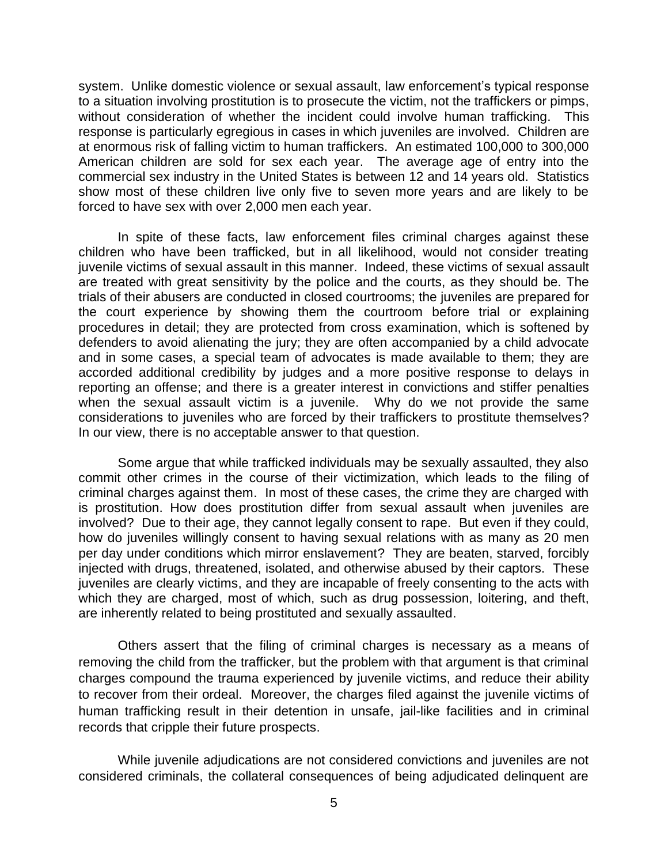system. Unlike domestic violence or sexual assault, law enforcement's typical response to a situation involving prostitution is to prosecute the victim, not the traffickers or pimps, without consideration of whether the incident could involve human trafficking. This response is particularly egregious in cases in which juveniles are involved. Children are at enormous risk of falling victim to human traffickers. An estimated 100,000 to 300,000 American children are sold for sex each year. The average age of entry into the commercial sex industry in the United States is between 12 and 14 years old. Statistics show most of these children live only five to seven more years and are likely to be forced to have sex with over 2,000 men each year.

In spite of these facts, law enforcement files criminal charges against these children who have been trafficked, but in all likelihood, would not consider treating juvenile victims of sexual assault in this manner. Indeed, these victims of sexual assault are treated with great sensitivity by the police and the courts, as they should be. The trials of their abusers are conducted in closed courtrooms; the juveniles are prepared for the court experience by showing them the courtroom before trial or explaining procedures in detail; they are protected from cross examination, which is softened by defenders to avoid alienating the jury; they are often accompanied by a child advocate and in some cases, a special team of advocates is made available to them; they are accorded additional credibility by judges and a more positive response to delays in reporting an offense; and there is a greater interest in convictions and stiffer penalties when the sexual assault victim is a juvenile. Why do we not provide the same considerations to juveniles who are forced by their traffickers to prostitute themselves? In our view, there is no acceptable answer to that question.

Some argue that while trafficked individuals may be sexually assaulted, they also commit other crimes in the course of their victimization, which leads to the filing of criminal charges against them. In most of these cases, the crime they are charged with is prostitution. How does prostitution differ from sexual assault when juveniles are involved? Due to their age, they cannot legally consent to rape. But even if they could, how do juveniles willingly consent to having sexual relations with as many as 20 men per day under conditions which mirror enslavement? They are beaten, starved, forcibly injected with drugs, threatened, isolated, and otherwise abused by their captors. These juveniles are clearly victims, and they are incapable of freely consenting to the acts with which they are charged, most of which, such as drug possession, loitering, and theft, are inherently related to being prostituted and sexually assaulted.

Others assert that the filing of criminal charges is necessary as a means of removing the child from the trafficker, but the problem with that argument is that criminal charges compound the trauma experienced by juvenile victims, and reduce their ability to recover from their ordeal. Moreover, the charges filed against the juvenile victims of human trafficking result in their detention in unsafe, jail-like facilities and in criminal records that cripple their future prospects.

While juvenile adjudications are not considered convictions and juveniles are not considered criminals, the collateral consequences of being adjudicated delinquent are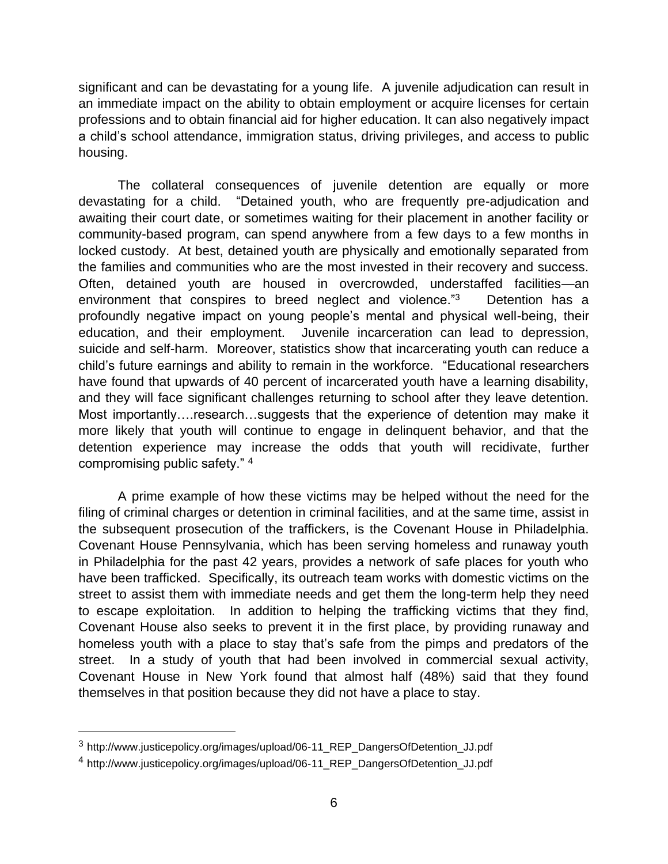significant and can be devastating for a young life. A juvenile adjudication can result in an immediate impact on the ability to obtain employment or acquire licenses for certain professions and to obtain financial aid for higher education. It can also negatively impact a child's school attendance, immigration status, driving privileges, and access to public housing.

The collateral consequences of juvenile detention are equally or more devastating for a child. "Detained youth, who are frequently pre-adjudication and awaiting their court date, or sometimes waiting for their placement in another facility or community-based program, can spend anywhere from a few days to a few months in locked custody. At best, detained youth are physically and emotionally separated from the families and communities who are the most invested in their recovery and success. Often, detained youth are housed in overcrowded, understaffed facilities—an environment that conspires to breed neglect and violence."<sup>3</sup> Detention has a profoundly negative impact on young people's mental and physical well-being, their education, and their employment. Juvenile incarceration can lead to depression, suicide and self-harm. Moreover, statistics show that incarcerating youth can reduce a child's future earnings and ability to remain in the workforce. "Educational researchers have found that upwards of 40 percent of incarcerated youth have a learning disability, and they will face significant challenges returning to school after they leave detention. Most importantly….research…suggests that the experience of detention may make it more likely that youth will continue to engage in delinquent behavior, and that the detention experience may increase the odds that youth will recidivate, further compromising public safety." <sup>4</sup>

A prime example of how these victims may be helped without the need for the filing of criminal charges or detention in criminal facilities, and at the same time, assist in the subsequent prosecution of the traffickers, is the Covenant House in Philadelphia. Covenant House Pennsylvania, which has been serving homeless and runaway youth in Philadelphia for the past 42 years, provides a network of safe places for youth who have been trafficked. Specifically, its outreach team works with domestic victims on the street to assist them with immediate needs and get them the long-term help they need to escape exploitation. In addition to helping the trafficking victims that they find, Covenant House also seeks to prevent it in the first place, by providing runaway and homeless youth with a place to stay that's safe from the pimps and predators of the street. In a study of youth that had been involved in commercial sexual activity, Covenant House in New York found that almost half (48%) said that they found themselves in that position because they did not have a place to stay.

<sup>3</sup> http://www.justicepolicy.org/images/upload/06-11\_REP\_DangersOfDetention\_JJ.pdf

<sup>&</sup>lt;sup>4</sup> http://www.justicepolicy.org/images/upload/06-11 REP DangersOfDetention JJ.pdf